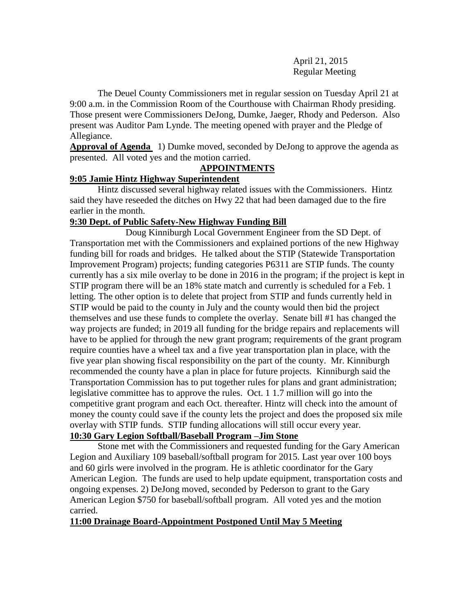April 21, 2015 Regular Meeting

The Deuel County Commissioners met in regular session on Tuesday April 21 at 9:00 a.m. in the Commission Room of the Courthouse with Chairman Rhody presiding. Those present were Commissioners DeJong, Dumke, Jaeger, Rhody and Pederson. Also present was Auditor Pam Lynde. The meeting opened with prayer and the Pledge of Allegiance.

**Approval of Agenda** 1) Dumke moved, seconded by DeJong to approve the agenda as presented. All voted yes and the motion carried.

# **APPOINTMENTS**

# **9:05 Jamie Hintz Highway Superintendent**

Hintz discussed several highway related issues with the Commissioners. Hintz said they have reseeded the ditches on Hwy 22 that had been damaged due to the fire earlier in the month.

# **9:30 Dept. of Public Safety-New Highway Funding Bill**

Doug Kinniburgh Local Government Engineer from the SD Dept. of Transportation met with the Commissioners and explained portions of the new Highway funding bill for roads and bridges. He talked about the STIP (Statewide Transportation Improvement Program) projects; funding categories P6311 are STIP funds. The county currently has a six mile overlay to be done in 2016 in the program; if the project is kept in STIP program there will be an 18% state match and currently is scheduled for a Feb. 1 letting. The other option is to delete that project from STIP and funds currently held in STIP would be paid to the county in July and the county would then bid the project themselves and use these funds to complete the overlay. Senate bill #1 has changed the way projects are funded; in 2019 all funding for the bridge repairs and replacements will have to be applied for through the new grant program; requirements of the grant program require counties have a wheel tax and a five year transportation plan in place, with the five year plan showing fiscal responsibility on the part of the county. Mr. Kinniburgh recommended the county have a plan in place for future projects. Kinniburgh said the Transportation Commission has to put together rules for plans and grant administration; legislative committee has to approve the rules. Oct. 1 1.7 million will go into the competitive grant program and each Oct. thereafter. Hintz will check into the amount of money the county could save if the county lets the project and does the proposed six mile overlay with STIP funds. STIP funding allocations will still occur every year. **10:30 Gary Legion Softball/Baseball Program –Jim Stone**

# Stone met with the Commissioners and requested funding for the Gary American Legion and Auxiliary 109 baseball/softball program for 2015. Last year over 100 boys and 60 girls were involved in the program. He is athletic coordinator for the Gary American Legion. The funds are used to help update equipment, transportation costs and ongoing expenses. 2) DeJong moved, seconded by Pederson to grant to the Gary American Legion \$750 for baseball/softball program. All voted yes and the motion carried.

#### **11:00 Drainage Board-Appointment Postponed Until May 5 Meeting**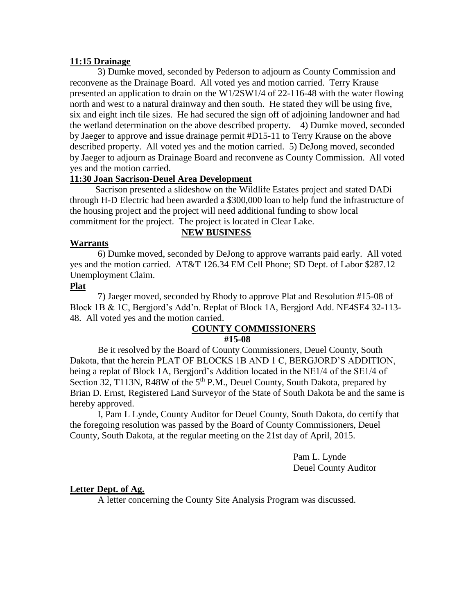#### **11:15 Drainage**

3) Dumke moved, seconded by Pederson to adjourn as County Commission and reconvene as the Drainage Board. All voted yes and motion carried. Terry Krause presented an application to drain on the W1/2SW1/4 of 22-116-48 with the water flowing north and west to a natural drainway and then south. He stated they will be using five, six and eight inch tile sizes. He had secured the sign off of adjoining landowner and had the wetland determination on the above described property. 4) Dumke moved, seconded by Jaeger to approve and issue drainage permit #D15-11 to Terry Krause on the above described property. All voted yes and the motion carried. 5) DeJong moved, seconded by Jaeger to adjourn as Drainage Board and reconvene as County Commission. All voted yes and the motion carried.

# **11:30 Joan Sacrison-Deuel Area Development**

 Sacrison presented a slideshow on the Wildlife Estates project and stated DADi through H-D Electric had been awarded a \$300,000 loan to help fund the infrastructure of the housing project and the project will need additional funding to show local commitment for the project. The project is located in Clear Lake.

#### **Warrants**

# **NEW BUSINESS**

6) Dumke moved, seconded by DeJong to approve warrants paid early. All voted yes and the motion carried. AT&T 126.34 EM Cell Phone; SD Dept. of Labor \$287.12 Unemployment Claim.

#### **Plat**

7) Jaeger moved, seconded by Rhody to approve Plat and Resolution #15-08 of Block 1B & 1C, Bergjord's Add'n. Replat of Block 1A, Bergjord Add. NE4SE4 32-113- 48. All voted yes and the motion carried.

# **COUNTY COMMISSIONERS**

#### **#15-08**

Be it resolved by the Board of County Commissioners, Deuel County, South Dakota, that the herein PLAT OF BLOCKS 1B AND 1 C, BERGJORD'S ADDITION, being a replat of Block 1A, Bergjord's Addition located in the NE1/4 of the SE1/4 of Section 32, T113N, R48W of the  $5<sup>th</sup>$  P.M., Deuel County, South Dakota, prepared by Brian D. Ernst, Registered Land Surveyor of the State of South Dakota be and the same is hereby approved.

I, Pam L Lynde, County Auditor for Deuel County, South Dakota, do certify that the foregoing resolution was passed by the Board of County Commissioners, Deuel County, South Dakota, at the regular meeting on the 21st day of April, 2015.

> Pam L. Lynde Deuel County Auditor

#### **Letter Dept. of Ag.**

A letter concerning the County Site Analysis Program was discussed.